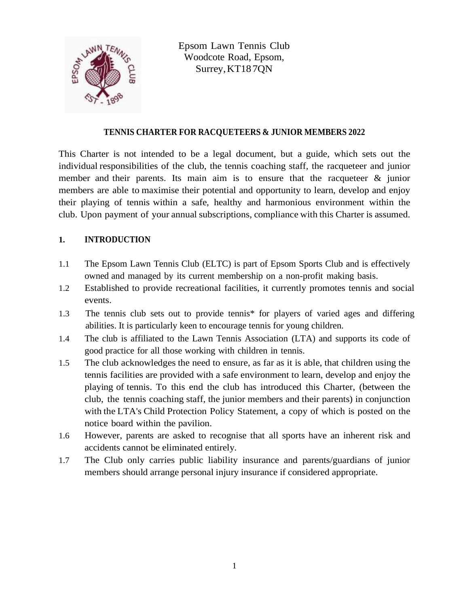

Epsom Lawn Tennis Club Woodcote Road, Epsom, Surrey,KT187QN

### **TENNIS CHARTER FOR RACQUETEERS & JUNIOR MEMBERS 2022**

This Charter is not intended to be a legal document, but a guide, which sets out the individual responsibilities of the club, the tennis coaching staff, the racqueteer and junior member and their parents. Its main aim is to ensure that the racqueteer & junior members are able to maximise their potential and opportunity to learn, develop and enjoy their playing of tennis within a safe, healthy and harmonious environment within the club. Upon payment of your annual subscriptions, compliance with this Charter is assumed.

# **1. INTRODUCTION**

- 1.1 The Epsom Lawn Tennis Club (ELTC) is part of Epsom Sports Club and is effectively owned and managed by its current membership on a non-profit making basis.
- 1.2 Established to provide recreational facilities, it currently promotes tennis and social events.
- 1.3 The tennis club sets out to provide tennis\* for players of varied ages and differing abilities. It is particularly keen to encourage tennis for young children.
- 1.4 The club is affiliated to the Lawn Tennis Association (LTA) and supports its code of good practice for all those working with children in tennis.
- 1.5 The club acknowledges the need to ensure, as far as it is able, that children using the tennis facilities are provided with a safe environment to learn, develop and enjoy the playing of tennis. To this end the club has introduced this Charter, (between the club, the tennis coaching staff, the junior members and their parents) in conjunction with the LTA's Child Protection Policy Statement, a copy of which is posted on the notice board within the pavilion.
- 1.6 However, parents are asked to recognise that all sports have an inherent risk and accidents cannot be eliminated entirely.
- 1.7 The Club only carries public liability insurance and parents/guardians of junior members should arrange personal injury insurance if considered appropriate.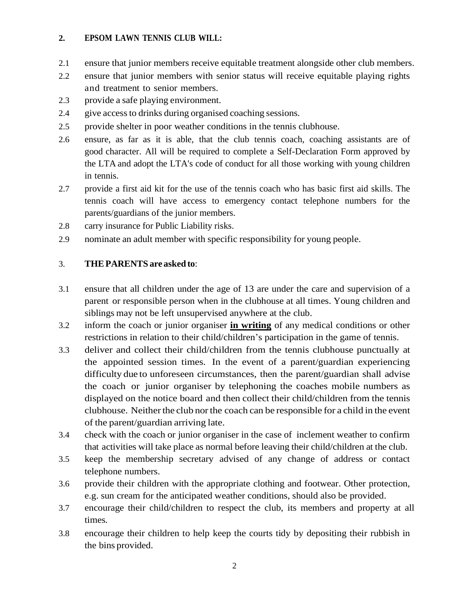## **2. EPSOM LAWN TENNIS CLUB WILL:**

- 2.1 ensure that junior members receive equitable treatment alongside other club members.
- 2.2 ensure that junior members with senior status will receive equitable playing rights and treatment to senior members.
- 2.3 provide a safe playing environment.
- 2.4 give accessto drinks during organised coaching sessions.
- 2.5 provide shelter in poor weather conditions in the tennis clubhouse.
- 2.6 ensure, as far as it is able, that the club tennis coach, coaching assistants are of good character. All will be required to complete a Self-Declaration Form approved by the LTA and adopt the LTA's code of conduct for all those working with young children in tennis.
- 2.7 provide a first aid kit for the use of the tennis coach who has basic first aid skills. The tennis coach will have access to emergency contact telephone numbers for the parents/guardians of the junior members.
- 2.8 carry insurance for Public Liability risks.
- 2.9 nominate an adult member with specific responsibility for young people.

#### 3. **THEPARENTS are asked to**:

- 3.1 ensure that all children under the age of 13 are under the care and supervision of a parent or responsible person when in the clubhouse at all times. Young children and siblings may not be left unsupervised anywhere at the club.
- 3.2 inform the coach or junior organiser **in writing** of any medical conditions or other restrictions in relation to their child/children's participation in the game of tennis.
- 3.3 deliver and collect their child/children from the tennis clubhouse punctually at the appointed session times. In the event of a parent/guardian experiencing difficulty due to unforeseen circumstances, then the parent/guardian shall advise the coach or junior organiser by telephoning the coaches mobile numbers as displayed on the notice board and then collect their child/children from the tennis clubhouse. Neither the club nor the coach can be responsible for a child in the event of the parent/guardian arriving late.
- 3.4 check with the coach or junior organiser in the case of inclement weather to confirm that activities will take place as normal before leaving their child/children at the club.
- 3.5 keep the membership secretary advised of any change of address or contact telephone numbers.
- 3.6 provide their children with the appropriate clothing and footwear. Other protection, e.g. sun cream for the anticipated weather conditions, should also be provided.
- 3.7 encourage their child/children to respect the club, its members and property at all times.
- 3.8 encourage their children to help keep the courts tidy by depositing their rubbish in the bins provided.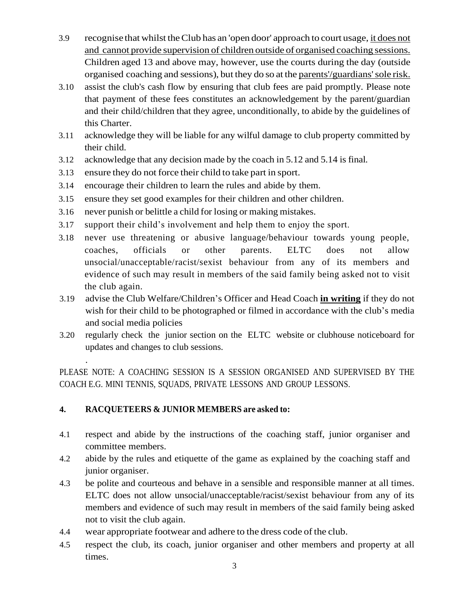- 3.9 recognise that whilst theClub has an 'open door' approach to court usage, it does not and cannot provide supervision of children outside of organised coaching sessions. Children aged 13 and above may, however, use the courts during the day (outside organised coaching and sessions), but they do so at the parents'/guardians'sole risk.
- 3.10 assist the club's cash flow by ensuring that club fees are paid promptly. Please note that payment of these fees constitutes an acknowledgement by the parent/guardian and their child/children that they agree, unconditionally, to abide by the guidelines of this Charter.
- 3.11 acknowledge they will be liable for any wilful damage to club property committed by their child.
- 3.12 acknowledge that any decision made by the coach in 5.12 and 5.14 is final.
- 3.13 ensure they do not force their child to take part in sport.
- 3.14 encourage their children to learn the rules and abide by them.
- 3.15 ensure they set good examples for their children and other children.
- 3.16 never punish or belittle a child for losing or making mistakes.
- 3.17 support their child's involvement and help them to enjoy the sport.
- 3.18 never use threatening or abusive language/behaviour towards young people, coaches, officials or other parents. ELTC does not allow unsocial/unacceptable/racist/sexist behaviour from any of its members and evidence of such may result in members of the said family being asked not to visit the club again.
- 3.19 advise the Club Welfare/Children's Officer and Head Coach **in writing** if they do not wish for their child to be photographed or filmed in accordance with the club's media and social media policies
- 3.20 regularly check the junior section on the ELTC website or clubhouse noticeboard for updates and changes to club sessions.

PLEASE NOTE: A COACHING SESSION IS A SESSION ORGANISED AND SUPERVISED BY THE COACH E.G. MINI TENNIS, SQUADS, PRIVATE LESSONS AND GROUP LESSONS.

## **4. RACQUETEERS & JUNIOR MEMBERS are asked to:**

.

- 4.1 respect and abide by the instructions of the coaching staff, junior organiser and committee members.
- 4.2 abide by the rules and etiquette of the game as explained by the coaching staff and junior organiser.
- 4.3 be polite and courteous and behave in a sensible and responsible manner at all times. ELTC does not allow unsocial/unacceptable/racist/sexist behaviour from any of its members and evidence of such may result in members of the said family being asked not to visit the club again.
- 4.4 wear appropriate footwear and adhere to the dress code of the club.
- 4.5 respect the club, its coach, junior organiser and other members and property at all times.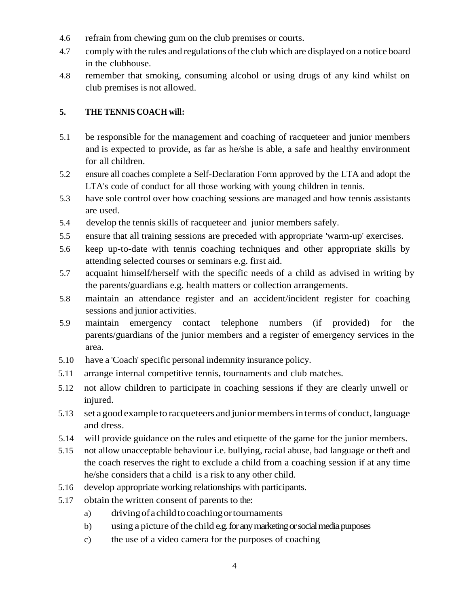- 4.6 refrain from chewing gum on the club premises or courts.
- 4.7 comply with the rules and regulations of the club which are displayed on a notice board in the clubhouse.
- 4.8 remember that smoking, consuming alcohol or using drugs of any kind whilst on club premises is not allowed.

# **5. THE TENNIS COACH will:**

- 5.1 be responsible for the management and coaching of racqueteer and junior members and is expected to provide, as far as he/she is able, a safe and healthy environment for all children.
- 5.2 ensure all coaches complete a Self-Declaration Form approved by the LTA and adopt the LTA's code of conduct for all those working with young children in tennis.
- 5.3 have sole control over how coaching sessions are managed and how tennis assistants are used.
- 5.4 develop the tennis skills of racqueteer and junior members safely.
- 5.5 ensure that all training sessions are preceded with appropriate 'warm-up' exercises.
- 5.6 keep up-to-date with tennis coaching techniques and other appropriate skills by attending selected courses or seminars e.g. first aid.
- 5.7 acquaint himself/herself with the specific needs of a child as advised in writing by the parents/guardians e.g. health matters or collection arrangements.
- 5.8 maintain an attendance register and an accident/incident register for coaching sessions and junior activities.
- 5.9 maintain emergency contact telephone numbers (if provided) for the parents/guardians of the junior members and a register of emergency services in the area.
- 5.10 have a 'Coach'specific personal indemnity insurance policy.
- 5.11 arrange internal competitive tennis, tournaments and club matches.
- 5.12 not allow children to participate in coaching sessions if they are clearly unwell or injured.
- 5.13 set a good example to racqueteers and junior members in terms of conduct, language and dress.
- 5.14 will provide guidance on the rules and etiquette of the game for the junior members.
- 5.15 not allow unacceptable behaviour i.e. bullying, racial abuse, bad language or theft and the coach reserves the right to exclude a child from a coaching session if at any time he/she considers that a child is a risk to any other child.
- 5.16 develop appropriate working relationships with participants.
- 5.17 obtain the written consent of parents to the:
	- a) drivingofachildtocoachingortournaments
	- b) using a picture of the child e.g. for any marketing or social media purposes
	- c) the use of a video camera for the purposes of coaching